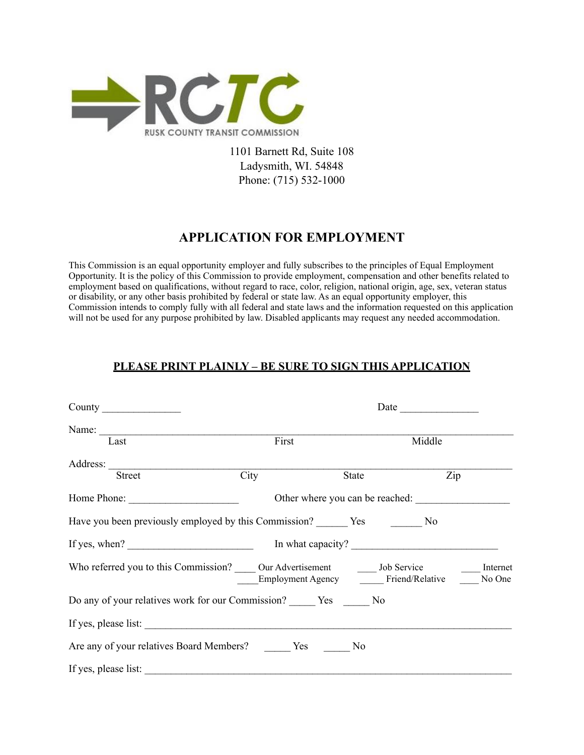

1101 Barnett Rd, Suite 108 Ladysmith, WI. 54848 Phone: (715) 532-1000

# **APPLICATION FOR EMPLOYMENT**

This Commission is an equal opportunity employer and fully subscribes to the principles of Equal Employment Opportunity. It is the policy of this Commission to provide employment, compensation and other benefits related to employment based on qualifications, without regard to race, color, religion, national origin, age, sex, veteran status or disability, or any other basis prohibited by federal or state law. As an equal opportunity employer, this Commission intends to comply fully with all federal and state laws and the information requested on this application will not be used for any purpose prohibited by law. Disabled applicants may request any needed accommodation.

### **PLEASE PRINT PLAINLY – BE SURE TO SIGN THIS APPLICATION**

|                                                                        | Date $\qquad \qquad$            |                                                  |                  |                    |
|------------------------------------------------------------------------|---------------------------------|--------------------------------------------------|------------------|--------------------|
| Last                                                                   | First                           |                                                  | Middle           |                    |
| <b>Street</b>                                                          | City                            | State                                            | $\overline{Zip}$ |                    |
| Home Phone:                                                            | Other where you can be reached: |                                                  |                  |                    |
|                                                                        |                                 |                                                  |                  |                    |
|                                                                        |                                 |                                                  |                  |                    |
| Who referred you to this Commission? COU Advertisement COU Job Service |                                 | Employment Agency ________ Friend/Relative _____ |                  | Internet<br>No One |
|                                                                        |                                 |                                                  |                  |                    |
| If yes, please list:                                                   |                                 |                                                  |                  |                    |
| Are any of your relatives Board Members? ________ Yes _______ No       |                                 |                                                  |                  |                    |
| If yes, please list:                                                   |                                 |                                                  |                  |                    |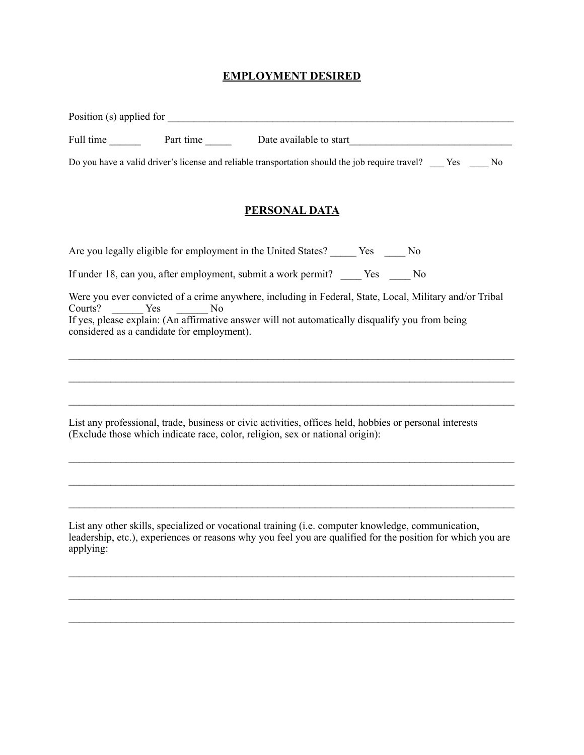### **EMPLOYMENT DESIRED**

|         |                                                                     | Full time Part time Date available to start                                                                                                                                                                |  |  |
|---------|---------------------------------------------------------------------|------------------------------------------------------------------------------------------------------------------------------------------------------------------------------------------------------------|--|--|
|         |                                                                     | Do you have a valid driver's license and reliable transportation should the job require travel? Yes No                                                                                                     |  |  |
|         |                                                                     | <b>PERSONAL DATA</b>                                                                                                                                                                                       |  |  |
|         |                                                                     | Are you legally eligible for employment in the United States? ______ Yes _____ No                                                                                                                          |  |  |
|         |                                                                     | If under 18, can you, after employment, submit a work permit? _____ Yes _____ No                                                                                                                           |  |  |
| Courts? | Yes<br>N <sub>0</sub><br>considered as a candidate for employment). | Were you ever convicted of a crime anywhere, including in Federal, State, Local, Military and/or Tribal<br>If yes, please explain: (An affirmative answer will not automatically disqualify you from being |  |  |
|         |                                                                     |                                                                                                                                                                                                            |  |  |
|         |                                                                     | List any professional, trade, business or civic activities, offices held, hobbies or personal interests<br>(Exclude those which indicate race, color, religion, sex or national origin):                   |  |  |
|         |                                                                     |                                                                                                                                                                                                            |  |  |
|         |                                                                     |                                                                                                                                                                                                            |  |  |
|         |                                                                     |                                                                                                                                                                                                            |  |  |

List any other skills, specialized or vocational training (i.e. computer knowledge, communication, leadership, etc.), experiences or reasons why you feel you are qualified for the position for which you are applying:

 $\_$ 

 $\_$ 

 $\_$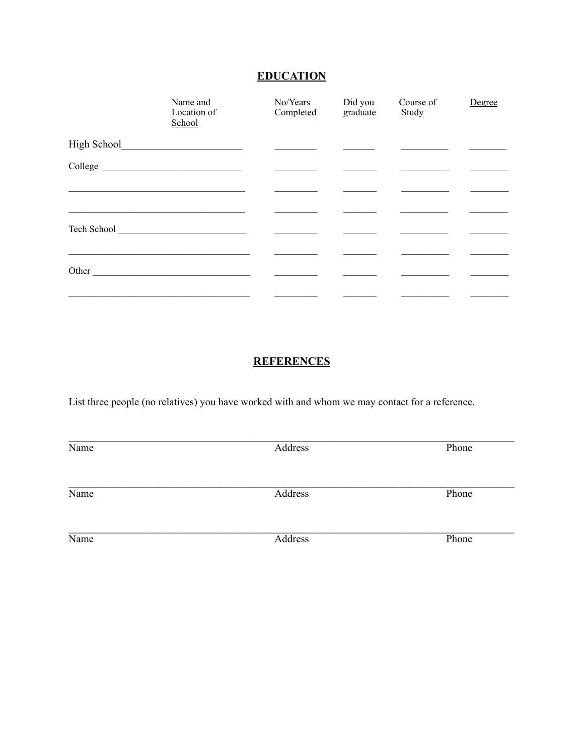# **EDUCATION**

|             | Name and<br>Location of<br>School                                                                                                                                                                                                    | No/Years<br>Completed | Did you<br>graduate | Course of<br>Study | Degree |
|-------------|--------------------------------------------------------------------------------------------------------------------------------------------------------------------------------------------------------------------------------------|-----------------------|---------------------|--------------------|--------|
| High School | <u>and the contract of the contract of the contract of the contract of the contract of the contract of the contract of the contract of the contract of the contract of the contract of the contract of the contract of the contr</u> |                       |                     |                    |        |
|             |                                                                                                                                                                                                                                      |                       |                     |                    |        |
|             |                                                                                                                                                                                                                                      |                       |                     |                    |        |
|             |                                                                                                                                                                                                                                      |                       |                     |                    |        |
|             | Tech School <u>and a series of the series of the series of the series of the series of the series of the series of the series of the series of the series of the series of the series of the series of the series of the series </u> |                       |                     |                    |        |
|             |                                                                                                                                                                                                                                      |                       |                     |                    |        |
| Other       |                                                                                                                                                                                                                                      |                       |                     |                    |        |
|             |                                                                                                                                                                                                                                      |                       |                     |                    |        |

## **REFERENCES**

List three people (no relatives) you have worked with and whom we may contact for a reference.

| Name | Address | Phone |
|------|---------|-------|
| Name | Address | Phone |
| Name | Address | Phone |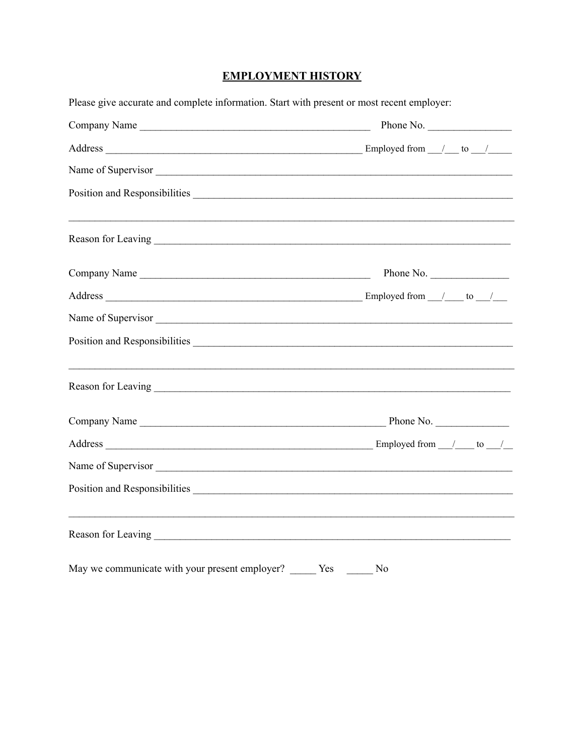## **EMPLOYMENT HISTORY**

| Please give accurate and complete information. Start with present or most recent employer: |                |  |  |  |  |
|--------------------------------------------------------------------------------------------|----------------|--|--|--|--|
| Company Name                                                                               | Phone No.      |  |  |  |  |
|                                                                                            |                |  |  |  |  |
| Name of Supervisor                                                                         |                |  |  |  |  |
|                                                                                            |                |  |  |  |  |
|                                                                                            |                |  |  |  |  |
| Company Name                                                                               | Phone No.      |  |  |  |  |
|                                                                                            |                |  |  |  |  |
| Name of Supervisor                                                                         |                |  |  |  |  |
|                                                                                            |                |  |  |  |  |
| ,我们也不会有什么。""我们的人,我们也不会有什么?""我们的人,我们也不会有什么?""我们的人,我们也不会有什么?""我们的人,我们也不会有什么?""我们的人           |                |  |  |  |  |
|                                                                                            |                |  |  |  |  |
|                                                                                            |                |  |  |  |  |
| Name of Supervisor                                                                         |                |  |  |  |  |
|                                                                                            |                |  |  |  |  |
| ,我们也不会有什么。""我们的人,我们也不会有什么?""我们的人,我们也不会有什么?""我们的人,我们也不会有什么?""我们的人,我们也不会有什么?""我们的人           |                |  |  |  |  |
| May we communicate with your present employer? Yes                                         | N <sub>0</sub> |  |  |  |  |